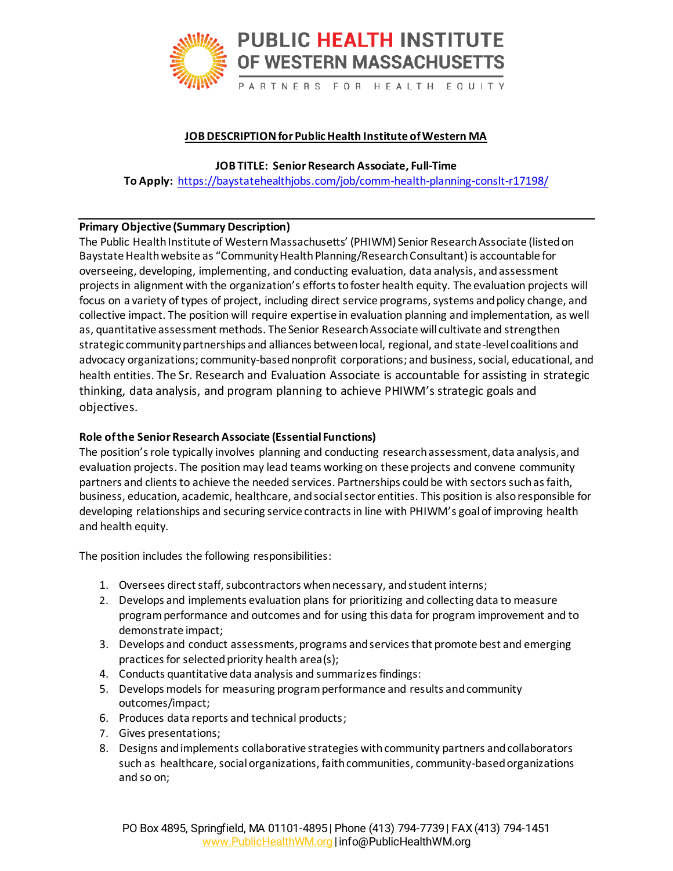

### **JOB DESCRIPTIONfor Public Health Institute of Western MA**

**JOB TITLE: Senior Research Associate, Full-Time To Apply:** <https://baystatehealthjobs.com/job/comm-health-planning-conslt-r17198/>

### **Primary Objective (Summary Description)**

The Public Health Institute of Western Massachusetts' (PHIWM) Senior Research Associate (listed on Baystate Health website as "Community Health Planning/Research Consultant) is accountable for overseeing, developing, implementing, and conducting evaluation, data analysis, and assessment projects in alignment with the organization's efforts to foster health equity. The evaluation projects will focus on a variety of types of project, including direct service programs, systems and policy change, and collective impact. The position will require expertise in evaluation planning and implementation, as well as, quantitative assessment methods. The Senior Research Associate will cultivate and strengthen strategic community partnerships and alliances between local, regional, and state-level coalitions and advocacy organizations; community-based nonprofit corporations; and business, social, educational, and health entities. The Sr. Research and Evaluation Associate is accountable for assisting in strategic thinking, data analysis, and program planning to achieve PHIWM's strategic goals and objectives.

#### **Role of the Senior Research Associate (Essential Functions)**

The position's role typically involves planning and conducting research assessment, data analysis, and evaluation projects. The position may lead teams working on these projects and convene community partners and clients to achieve the needed services. Partnerships could be with sectors such as faith, business, education, academic, healthcare, and social sector entities. This position is alsoresponsible for developing relationships and securing service contracts in line with PHIWM's goal of improving health and health equity.

The position includes the following responsibilities:

- 1. Oversees direct staff, subcontractors when necessary, and student interns;
- 2. Develops and implements evaluation plans for prioritizing and collecting data to measure program performance and outcomes and for using this data for program improvement and to demonstrate impact;
- 3. Develops and conduct assessments, programs and services that promote best and emerging practices for selected priority health area(s);
- 4. Conducts quantitative data analysis and summarizes findings:
- 5. Develops models for measuring program performance and results and community outcomes/impact;
- 6. Produces data reports and technical products;
- 7. Gives presentations;
- 8. Designs and implements collaborative strategies with community partners and collaborators such as healthcare, social organizations, faith communities, community-based organizations and so on;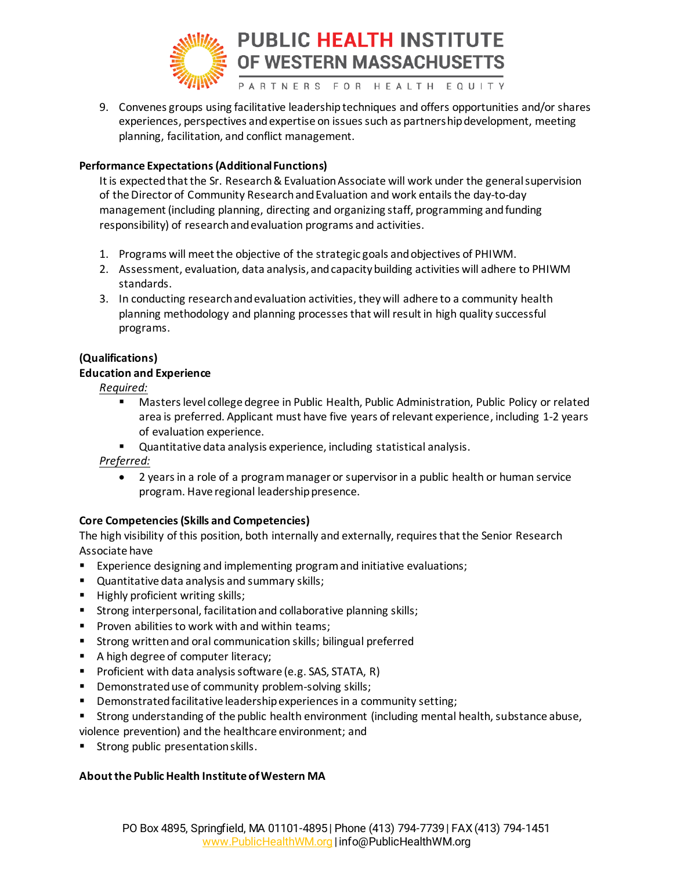

9. Convenes groups using facilitative leadership techniques and offers opportunities and/or shares experiences, perspectives and expertise on issues such as partnership development, meeting planning, facilitation, and conflict management.

### **Performance Expectations (Additional Functions)**

It is expected that the Sr. Research & Evaluation Associate will work under the general supervision of the Director of Community Research and Evaluation and work entails the day-to-day management (including planning, directing and organizing staff, programming and funding responsibility) of research and evaluation programs and activities.

- 1. Programs will meet the objective of the strategic goals and objectives of PHIWM.
- 2. Assessment, evaluation, data analysis, and capacity building activities will adhere to PHIWM standards.
- 3. In conducting research and evaluation activities, they will adhere to a community health planning methodology and planning processes that will result in high quality successful programs.

# **(Qualifications)**

#### **Education and Experience**

*Required:*

- **■** Masters level college degree in Public Health, Public Administration, Public Policy or related area is preferred. Applicant must have five years of relevant experience, including 1-2 years of evaluation experience.
- Quantitative data analysis experience, including statistical analysis.

*Preferred:* 

• 2 years in a role of a program manager or supervisor in a public health or human service program. Have regional leadership presence.

# **Core Competencies (Skills and Competencies)**

The high visibility of this position, both internally and externally, requires that the Senior Research Associate have

- Experience designing and implementing program and initiative evaluations;
- Quantitative data analysis and summary skills;
- Highly proficient writing skills;
- Strong interpersonal, facilitation and collaborative planning skills;
- Proven abilities to work with and within teams;
- Strong written and oral communication skills; bilingual preferred
- A high degree of computer literacy;
- Proficient with data analysis software (e.g. SAS, STATA, R)
- Demonstrated use of community problem-solving skills;
- Demonstrated facilitative leadership experiences in a community setting;
- Strong understanding of the public health environment (including mental health, substance abuse,

violence prevention) and the healthcare environment; and

Strong public presentation skills.

# **About the Public Health Institute of Western MA**